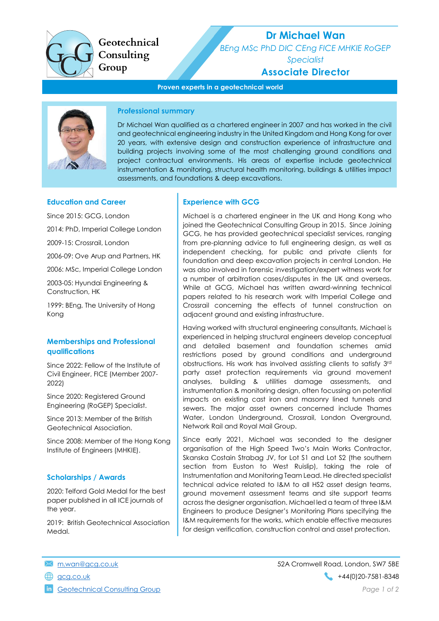Geotechnical Consulting Group

# Dr Michael Wan

BEng MSc PhD DIC CEng FICE MHKIE RoGEP

Specialist

## Associate Director

Proven experts in a geotechnical world



## Professional summary

Dr Michael Wan qualified as a chartered engineer in 2007 and has worked in the civil and geotechnical engineering industry in the United Kingdom and Hong Kong for over 20 years, with extensive design and construction experience of infrastructure and building projects involving some of the most challenging ground conditions and project contractual environments. His areas of expertise include geotechnical instrumentation & monitoring, structural health monitoring, buildings & utilities impact assessments, and foundations & deep excavations.

## Education and Career

Since 2015: GCG, London

2014: PhD, Imperial College London

2009-15: Crossrail, London

2006-09: Ove Arup and Partners, HK

2006: MSc, Imperial College London

2003-05: Hyundai Engineering & Construction, HK

1999: BEng, The University of Hong Kong

## Memberships and Professional qualifications

Since 2022: Fellow of the Institute of Civil Engineer, FICE (Member 2007- 2022)

Since 2020: Registered Ground Engineering (RoGEP) Specialist.

Since 2013: Member of the British Geotechnical Association.

Since 2008: Member of the Hong Kong Institute of Engineers (MHKIE).

## Scholarships / Awards

2020: Telford Gold Medal for the best paper published in all ICE journals of the year.

2019: British Geotechnical Association Medal.

## Experience with GCG

Michael is a chartered engineer in the UK and Hong Kong who joined the Geotechnical Consulting Group in 2015. Since Joining GCG, he has provided geotechnical specialist services, ranging from pre-planning advice to full engineering design, as well as independent checking, for public and private clients for foundation and deep excavation projects in central London. He was also involved in forensic investigation/expert witness work for a number of arbitration cases/disputes in the UK and overseas. While at GCG, Michael has written award-winning technical papers related to his research work with Imperial College and Crossrail concerning the effects of tunnel construction on adjacent ground and existing infrastructure.

Having worked with structural engineering consultants, Michael is experienced in helping structural engineers develop conceptual and detailed basement and foundation schemes amid restrictions posed by ground conditions and underground obstructions. His work has involved assisting clients to satisfy 3rd party asset protection requirements via ground movement analyses, building & utilities damage assessments, and instrumentation & monitoring design, often focussing on potential impacts on existing cast iron and masonry lined tunnels and sewers. The major asset owners concerned include Thames Water, London Underground, Crossrail, London Overground, Network Rail and Royal Mail Group.

Since early 2021, Michael was seconded to the designer organisation of the High Speed Two's Main Works Contractor, Skanska Costain Strabag JV, for Lot S1 and Lot S2 (the southern section from Euston to West Ruislip), taking the role of Instrumentation and Monitoring Team Lead. He directed specialist technical advice related to I&M to all HS2 asset design teams, ground movement assessment teams and site support teams across the designer organisation. Michael led a team of three I&M Engineers to produce Designer's Monitoring Plans specifying the I&M requirements for the works, which enable effective measures for design verification, construction control and asset protection.

**in** Geotechnical Consulting Group **Page 1 of 2** and 2 and 2 and 2 and 2 and 2 and 2 and 2 and 2 and 2 and 2 and 2 and 2 and 2 and 2 and 2 and 2 and 2 and 2 and 2 and 2 and 2 and 2 and 2 and 2 and 2 and 2 and 2 and 2 and 2

m.wan@gcg.co.uk 52A Cromwell Road, London, SW7 5BE gcg.co.uk +44(0)20-7581-8348